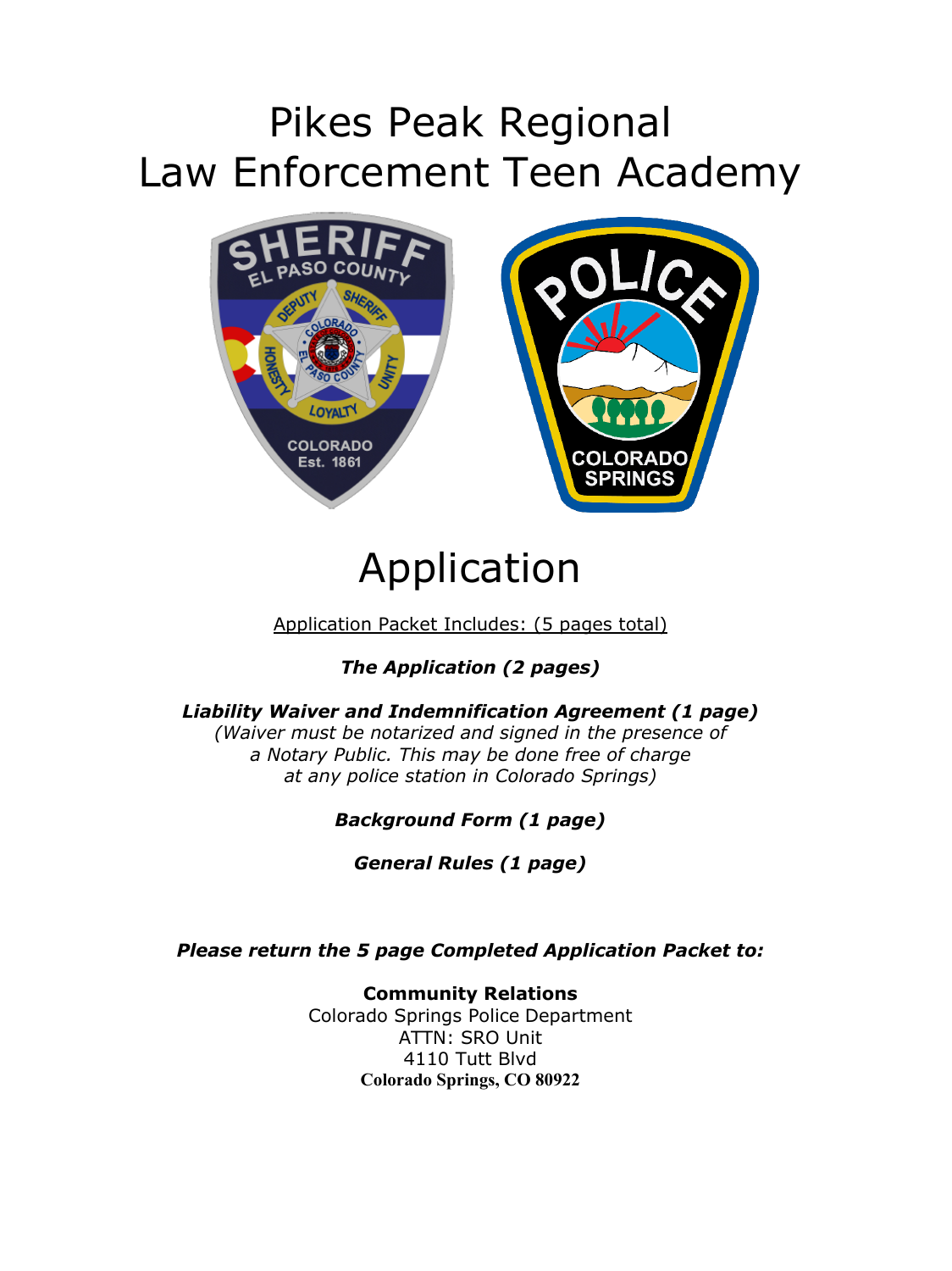# Pikes Peak Regional Law Enforcement Teen Academy



# Application

Application Packet Includes: (5 pages total)

*The Application (2 pages)*

#### *Liability Waiver and Indemnification Agreement (1 page)*

*(Waiver must be notarized and signed in the presence of a Notary Public. This may be done free of charge at any police station in Colorado Springs)*

#### *Background Form (1 page)*

*General Rules (1 page)*

*Please return the 5 page Completed Application Packet to:*

**Community Relations** Colorado Springs Police Department ATTN: SRO Unit 4110 Tutt Blvd **Colorado Springs, CO 80922**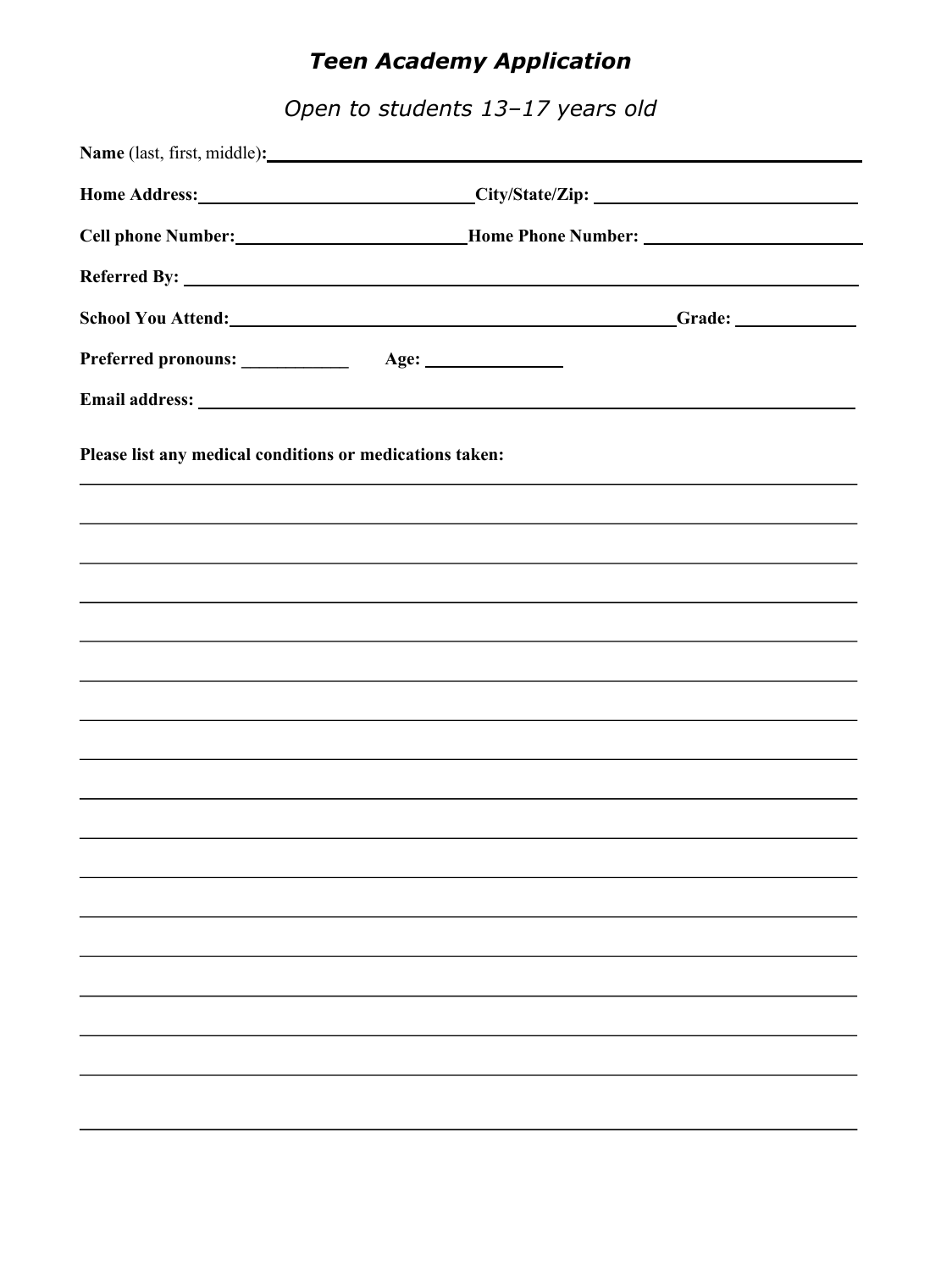# *Teen Academy Application*

*Open to students 13–17 years old*

|                                                          | Home Address: City/State/Zip: City/State/Zip:            |                                                                                                                                                                      |
|----------------------------------------------------------|----------------------------------------------------------|----------------------------------------------------------------------------------------------------------------------------------------------------------------------|
|                                                          | Cell phone Number: Mome Phone Number: Mome Phone Number: |                                                                                                                                                                      |
|                                                          |                                                          |                                                                                                                                                                      |
|                                                          | School You Attend: New York 2018 1999                    |                                                                                                                                                                      |
| Preferred pronouns: ____________                         |                                                          |                                                                                                                                                                      |
|                                                          |                                                          |                                                                                                                                                                      |
| Please list any medical conditions or medications taken: |                                                          |                                                                                                                                                                      |
|                                                          |                                                          | ,我们也不会有什么。""我们的人,我们也不会有什么?""我们的人,我们也不会有什么?""我们的人,我们也不会有什么?""我们的人,我们也不会有什么?""我们的人                                                                                     |
|                                                          |                                                          | ,我们也不会有什么。""我们的人,我们也不会有什么?""我们的人,我们也不会有什么?""我们的人,我们也不会有什么?""我们的人,我们也不会有什么?""我们的人<br>,我们也不会有什么?""我们的人,我们也不会有什么?""我们的人,我们也不会有什么?""我们的人,我们也不会有什么?""我们的人,我们也不会有什么?""我们的人 |
|                                                          |                                                          | ,我们也不能会有什么。""我们的人,我们也不能会有什么?""我们的人,我们也不能会有什么?""我们的人,我们也不能会有什么?""我们的人,我们也不能会有什么?""                                                                                    |
|                                                          |                                                          |                                                                                                                                                                      |
|                                                          |                                                          | ,我们也不会有什么。""我们的人,我们也不会有什么?""我们的人,我们也不会有什么?""我们的人,我们也不会有什么?""我们的人,我们也不会有什么?""我们的人                                                                                     |
|                                                          |                                                          | ,我们也不会有什么。""我们的人,我们也不会有什么?""我们的人,我们也不会有什么?""我们的人,我们也不会有什么?""我们的人,我们也不会有什么?""我们的人                                                                                     |
|                                                          |                                                          |                                                                                                                                                                      |
|                                                          |                                                          |                                                                                                                                                                      |
|                                                          |                                                          |                                                                                                                                                                      |
|                                                          |                                                          |                                                                                                                                                                      |
|                                                          |                                                          |                                                                                                                                                                      |
|                                                          |                                                          |                                                                                                                                                                      |
|                                                          |                                                          |                                                                                                                                                                      |
|                                                          |                                                          |                                                                                                                                                                      |
|                                                          |                                                          |                                                                                                                                                                      |
|                                                          |                                                          |                                                                                                                                                                      |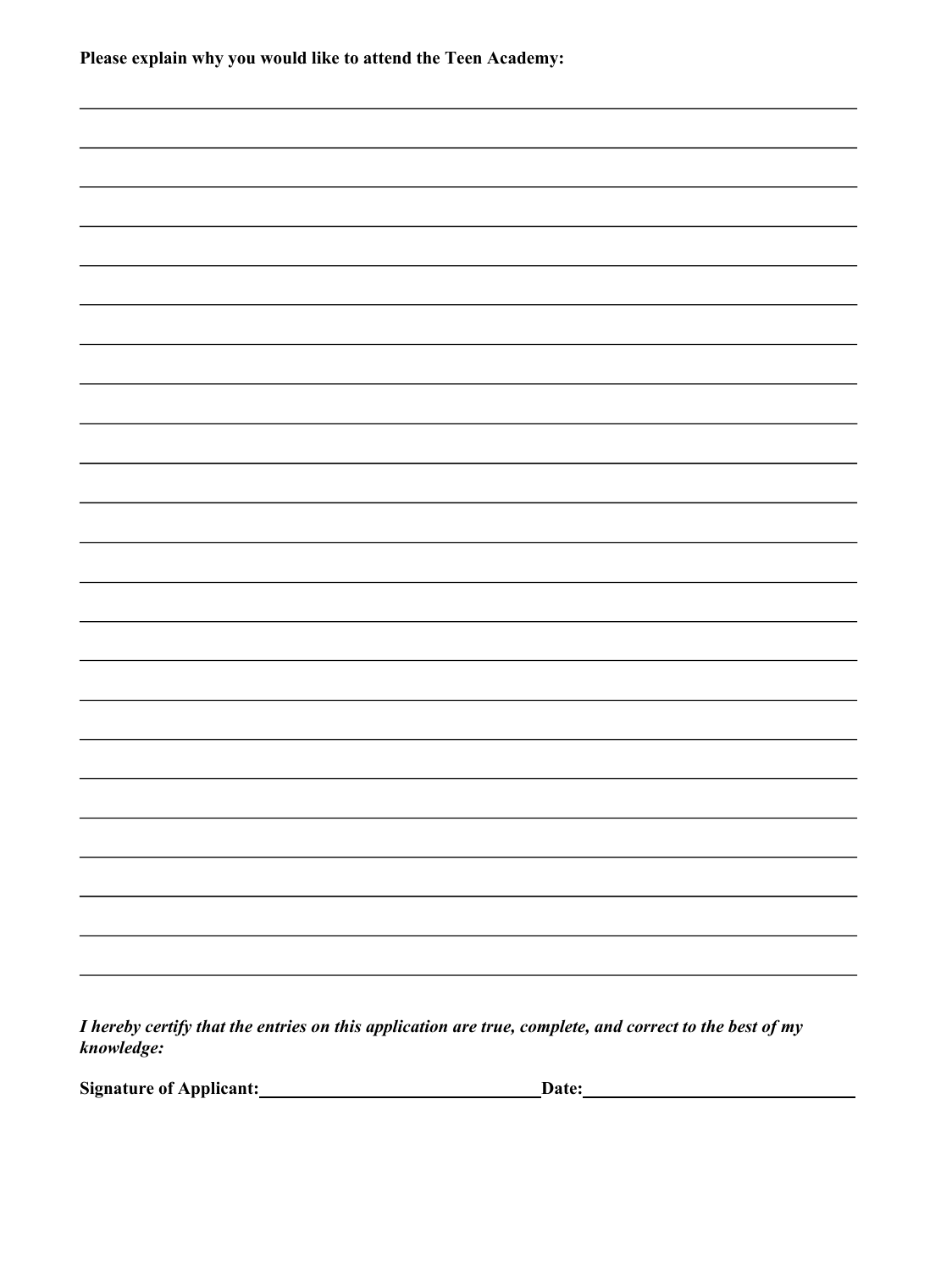| Please explain why you would like to attend the Teen Academy: |  |  |
|---------------------------------------------------------------|--|--|
|                                                               |  |  |
|                                                               |  |  |
|                                                               |  |  |
|                                                               |  |  |
|                                                               |  |  |
|                                                               |  |  |
|                                                               |  |  |
|                                                               |  |  |
|                                                               |  |  |
|                                                               |  |  |
|                                                               |  |  |
|                                                               |  |  |
|                                                               |  |  |
|                                                               |  |  |
|                                                               |  |  |
|                                                               |  |  |
|                                                               |  |  |
|                                                               |  |  |
|                                                               |  |  |
|                                                               |  |  |
|                                                               |  |  |

*I hereby certify that the entries on this application are true, complete, and correct to the best of my knowledge:*

**Signature** of Applicant: **Date: Date: Date: Date: Date: Date: Date: Date: Date: Date: Date: Date: Date: Date: Date: Date: Date: Date: Date: Date: Date: Date: Date: Date: Dat**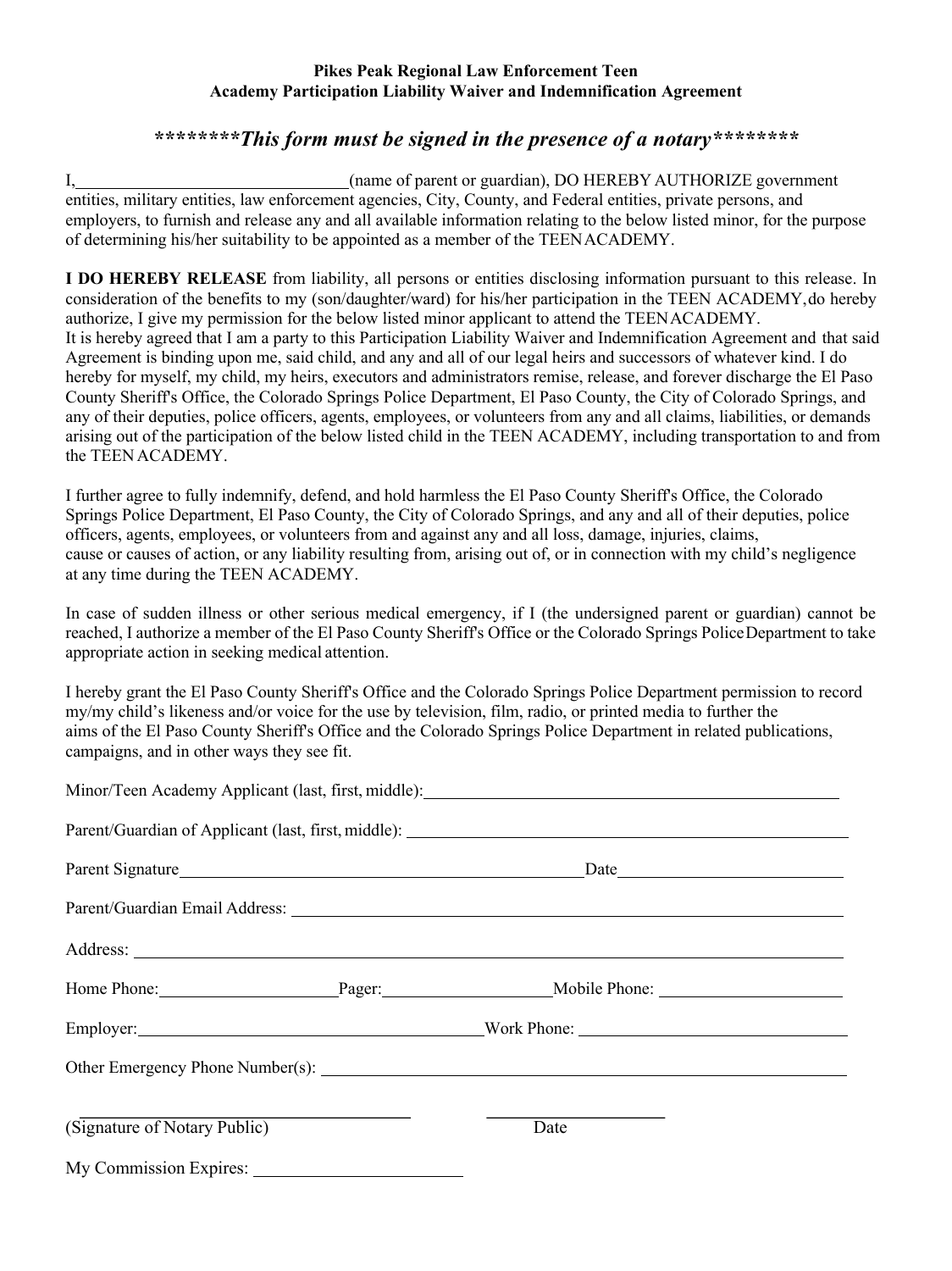#### **Pikes Peak Regional Law Enforcement Teen Academy Participation Liability Waiver and Indemnification Agreement**

#### *\*\*\*\*\*\*\*\*This form must be signed in the presence of a notary\*\*\*\*\*\*\*\**

I, (name of parent or guardian), DO HEREBY AUTHORIZE government entities, military entities, law enforcement agencies, City, County, and Federal entities, private persons, and employers, to furnish and release any and all available information relating to the below listed minor, for the purpose of determining his/her suitability to be appointed as a member of the TEENACADEMY.

**I DO HEREBY RELEASE** from liability, all persons or entities disclosing information pursuant to this release. In consideration of the benefits to my (son/daughter/ward) for his/her participation in the TEEN ACADEMY,do hereby authorize, I give my permission for the below listed minor applicant to attend the TEENACADEMY. It is hereby agreed that I am a party to this Participation Liability Waiver and Indemnification Agreement and that said Agreement is binding upon me, said child, and any and all of our legal heirs and successors of whatever kind. I do hereby for myself, my child, my heirs, executors and administrators remise, release, and forever discharge the El Paso County Sheriff's Office, the Colorado Springs Police Department, El Paso County, the City of Colorado Springs, and any of their deputies, police officers, agents, employees, or volunteers from any and all claims, liabilities, or demands arising out of the participation of the below listed child in the TEEN ACADEMY, including transportation to and from the TEEN ACADEMY.

I further agree to fully indemnify, defend, and hold harmless the El Paso County Sheriff's Office, the Colorado Springs Police Department, El Paso County, the City of Colorado Springs, and any and all of their deputies, police officers, agents, employees, or volunteers from and against any and all loss, damage, injuries, claims, cause or causes of action, or any liability resulting from, arising out of, or in connection with my child's negligence at any time during the TEEN ACADEMY.

In case of sudden illness or other serious medical emergency, if I (the undersigned parent or guardian) cannot be reached, I authorize a member of the El Paso County Sheriff's Office or the Colorado Springs PoliceDepartment to take appropriate action in seeking medical attention.

I hereby grant the El Paso County Sheriff's Office and the Colorado Springs Police Department permission to record my/my child's likeness and/or voice for the use by television, film, radio, or printed media to further the aims of the El Paso County Sheriff's Office and the Colorado Springs Police Department in related publications, campaigns, and in other ways they see fit.

|                              | Parent Signature <u> Date</u> <b>Example 10</b> Date <b>Example 10</b> Date <b>Example 10</b> Date <b>Example 10</b> Date <b>Example 10</b> Date <b>Example 10</b> Date <b>Example 10</b> Date <b>Example 10</b> Date <b>Example 10</b> Date <b>Example 10</b> Date <b>Exam</b> |  |
|------------------------------|---------------------------------------------------------------------------------------------------------------------------------------------------------------------------------------------------------------------------------------------------------------------------------|--|
|                              |                                                                                                                                                                                                                                                                                 |  |
|                              |                                                                                                                                                                                                                                                                                 |  |
|                              | Home Phone: Pager: Pager: Mobile Phone: Mobile Phone:                                                                                                                                                                                                                           |  |
|                              | Employer: Work Phone: Work Phone:                                                                                                                                                                                                                                               |  |
|                              |                                                                                                                                                                                                                                                                                 |  |
| (Signature of Notary Public) | Date                                                                                                                                                                                                                                                                            |  |
|                              |                                                                                                                                                                                                                                                                                 |  |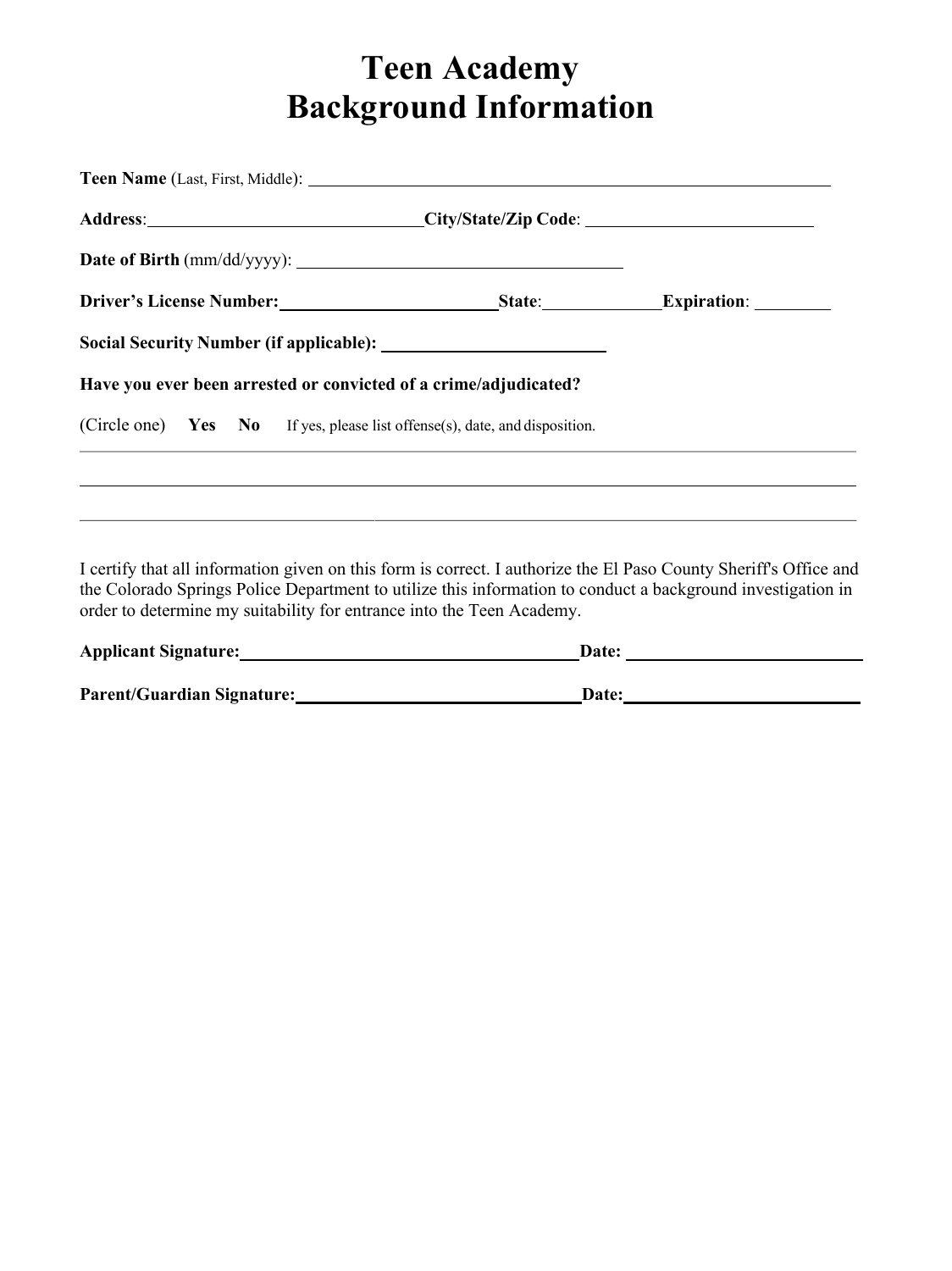# **Teen Academy Background Information**

|  |  | Have you ever been arrested or convicted of a crime/adjudicated?           |  |
|--|--|----------------------------------------------------------------------------|--|
|  |  | (Circle one) Yes No If yes, please list offense(s), date, and disposition. |  |
|  |  |                                                                            |  |
|  |  |                                                                            |  |

I certify that all information given on this form is correct. I authorize the El Paso County Sheriff's Office and the Colorado Springs Police Department to utilize this information to conduct a background investigation in order to determine my suitability for entrance into the Teen Academy.

| <b>Applicant Signature:</b>       | Date: |
|-----------------------------------|-------|
| <b>Parent/Guardian Signature:</b> | Date: |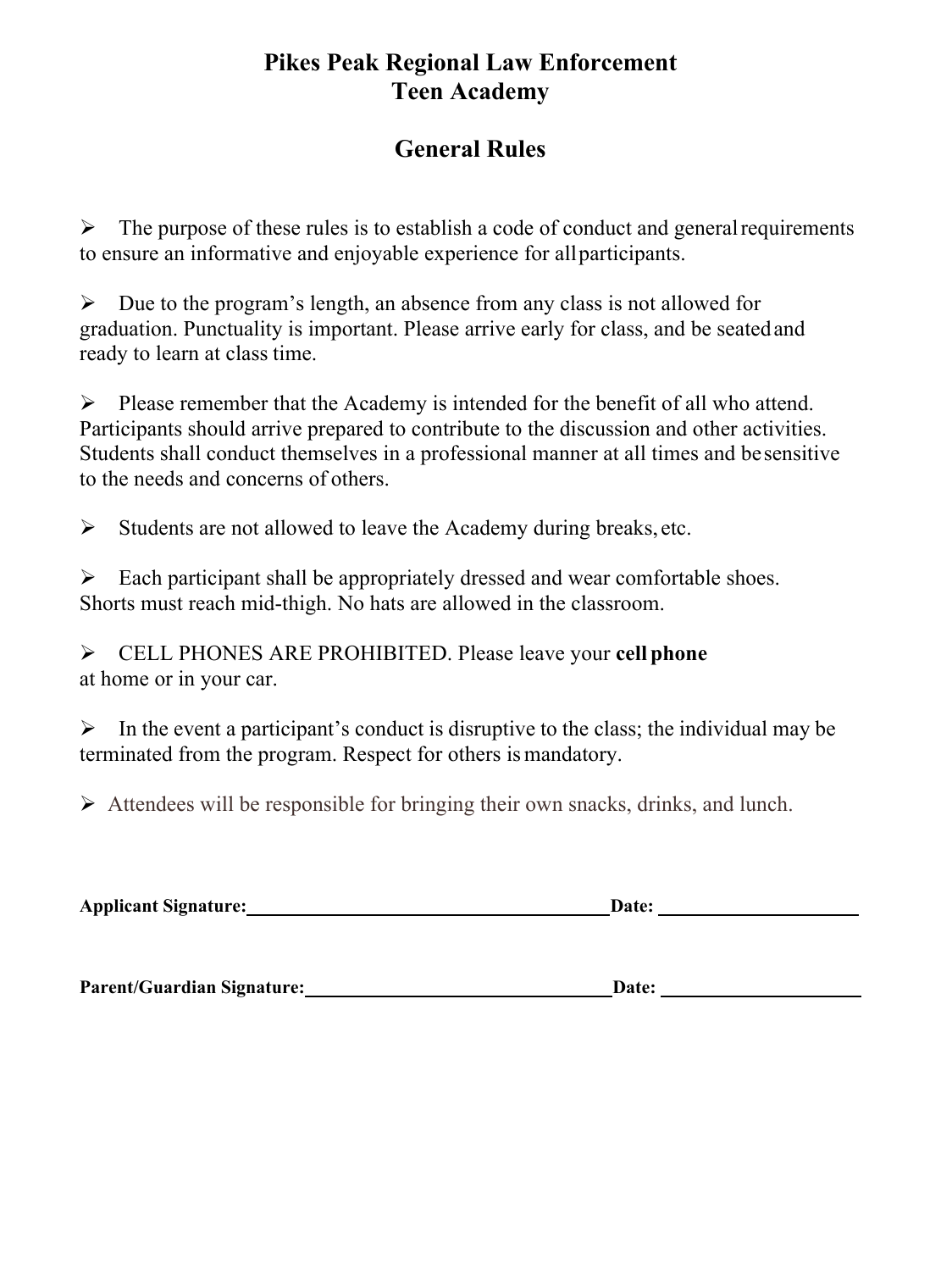### **Pikes Peak Regional Law Enforcement Teen Academy**

### **General Rules**

 $\triangleright$  The purpose of these rules is to establish a code of conduct and general requirements to ensure an informative and enjoyable experience for allparticipants.

 $\triangleright$  Due to the program's length, an absence from any class is not allowed for graduation. Punctuality is important. Please arrive early for class, and be seatedand ready to learn at class time.

 $\triangleright$  Please remember that the Academy is intended for the benefit of all who attend. Participants should arrive prepared to contribute to the discussion and other activities. Students shall conduct themselves in a professional manner at all times and besensitive to the needs and concerns of others.

 $\triangleright$  Students are not allowed to leave the Academy during breaks, etc.

 $\triangleright$  Each participant shall be appropriately dressed and wear comfortable shoes. Shorts must reach mid-thigh. No hats are allowed in the classroom.

Ø CELL PHONES ARE PROHIBITED. Please leave your **cell phone** at home or in your car.

 $\triangleright$  In the event a participant's conduct is disruptive to the class; the individual may be terminated from the program. Respect for others is mandatory.

 $\triangleright$  Attendees will be responsible for bringing their own snacks, drinks, and lunch.

| <b>Applicant Signature:</b> | <b>Date:</b> |  |
|-----------------------------|--------------|--|
|-----------------------------|--------------|--|

**Parent/Guardian Signature: Date:**